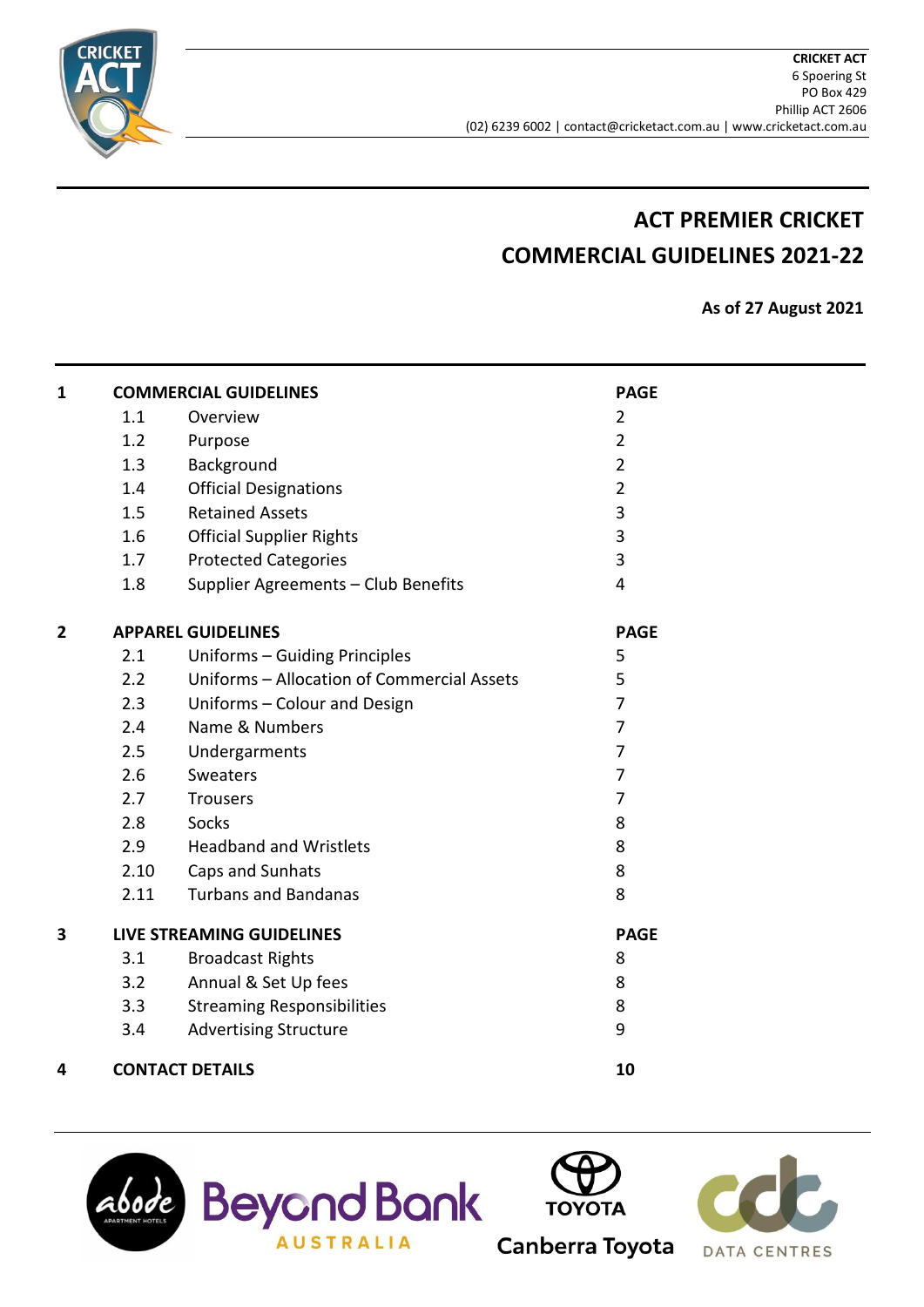

# **ACT PREMIER CRICKET COMMERCIAL GUIDELINES 2021-22**

**As of 27 August 2021**

| 1 |               | <b>COMMERCIAL GUIDELINES</b>               | <b>PAGE</b>    |  |
|---|---------------|--------------------------------------------|----------------|--|
|   | 1.1           | Overview                                   | $\overline{2}$ |  |
|   | 1.2           | Purpose                                    | $\overline{2}$ |  |
|   | 1.3           | Background                                 | $\overline{2}$ |  |
|   | 1.4           | <b>Official Designations</b>               | $\overline{2}$ |  |
|   | 1.5           | <b>Retained Assets</b>                     | 3              |  |
|   | 1.6           | <b>Official Supplier Rights</b>            | 3              |  |
|   | 1.7           | <b>Protected Categories</b>                | 3              |  |
|   | 1.8           | Supplier Agreements - Club Benefits        | $\overline{4}$ |  |
| 2 |               | <b>APPAREL GUIDELINES</b>                  | <b>PAGE</b>    |  |
|   | 2.1           | Uniforms - Guiding Principles              | 5              |  |
|   | $2.2^{\circ}$ | Uniforms - Allocation of Commercial Assets | 5              |  |
|   | 2.3           | Uniforms - Colour and Design               | $\overline{7}$ |  |
|   | 2.4           | Name & Numbers                             | $\overline{7}$ |  |
|   | 2.5           | Undergarments                              | $\overline{7}$ |  |
|   | 2.6           | <b>Sweaters</b>                            | 7              |  |
|   | 2.7           | Trousers                                   | 7              |  |
|   | 2.8           | Socks                                      | 8              |  |
|   | 2.9           | <b>Headband and Wristlets</b>              | 8              |  |
|   | 2.10          | Caps and Sunhats                           | 8              |  |
|   | 2.11          | <b>Turbans and Bandanas</b>                | 8              |  |
| 3 |               | <b>LIVE STREAMING GUIDELINES</b>           | <b>PAGE</b>    |  |
|   | 3.1           | <b>Broadcast Rights</b>                    | 8              |  |
|   | 3.2           | Annual & Set Up fees                       | 8              |  |
|   | 3.3           | <b>Streaming Responsibilities</b>          | 8              |  |
|   | 3.4           | <b>Advertising Structure</b>               | 9              |  |
| 4 |               | <b>CONTACT DETAILS</b>                     | 10             |  |





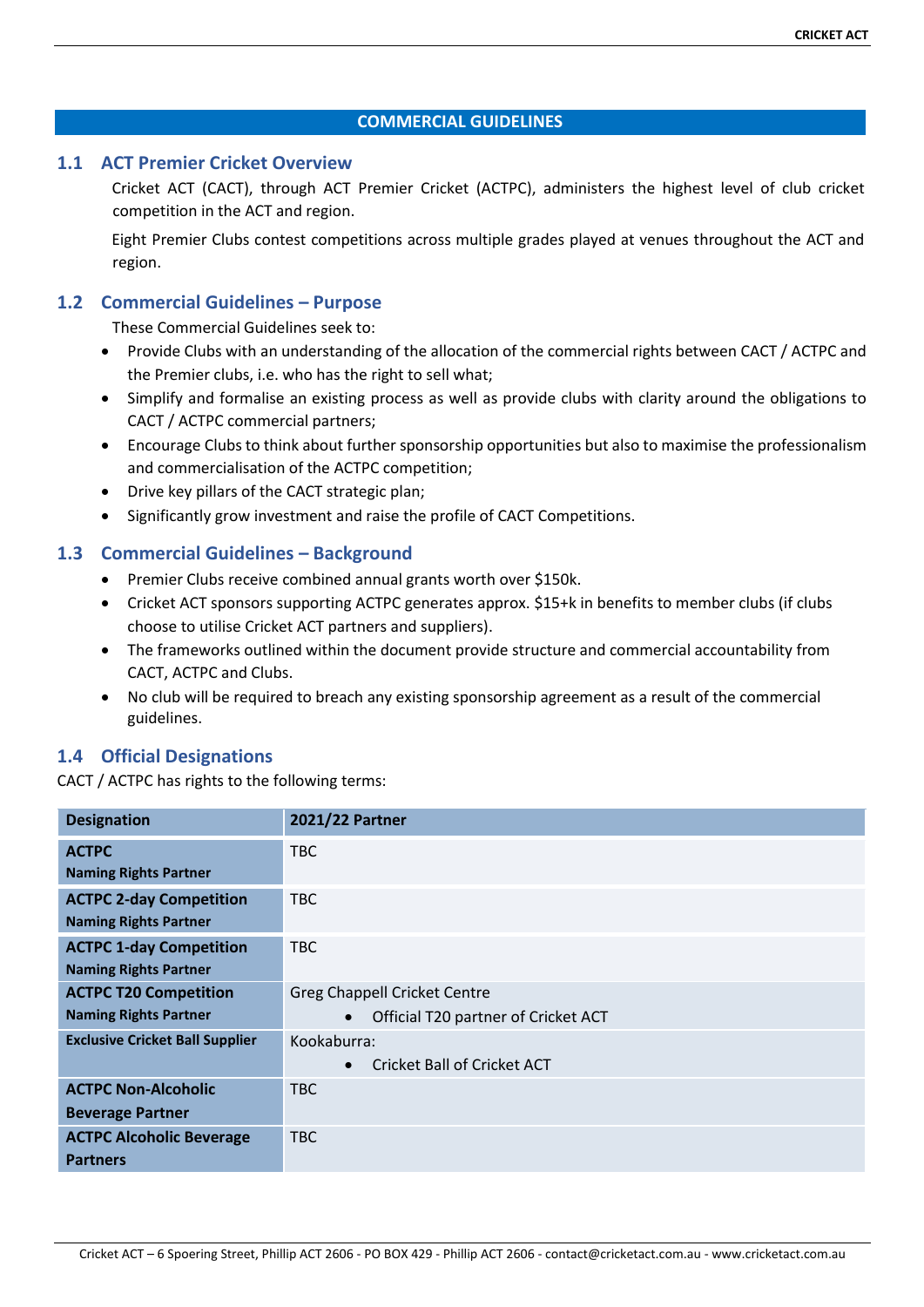#### **COMMERCIAL GUIDELINES**

# **1.1 ACT Premier Cricket Overview**

Cricket ACT (CACT), through ACT Premier Cricket (ACTPC), administers the highest level of club cricket competition in the ACT and region.

Eight Premier Clubs contest competitions across multiple grades played at venues throughout the ACT and region.

# **1.2 Commercial Guidelines – Purpose**

These Commercial Guidelines seek to:

- Provide Clubs with an understanding of the allocation of the commercial rights between CACT / ACTPC and the Premier clubs, i.e. who has the right to sell what;
- Simplify and formalise an existing process as well as provide clubs with clarity around the obligations to CACT / ACTPC commercial partners;
- Encourage Clubs to think about further sponsorship opportunities but also to maximise the professionalism and commercialisation of the ACTPC competition;
- Drive key pillars of the CACT strategic plan;
- Significantly grow investment and raise the profile of CACT Competitions.

# **1.3 Commercial Guidelines – Background**

- Premier Clubs receive combined annual grants worth over \$150k.
- Cricket ACT sponsors supporting ACTPC generates approx. \$15+k in benefits to member clubs (if clubs choose to utilise Cricket ACT partners and suppliers).
- The frameworks outlined within the document provide structure and commercial accountability from CACT, ACTPC and Clubs.
- No club will be required to breach any existing sponsorship agreement as a result of the commercial guidelines.

# **1.4 Official Designations**

CACT / ACTPC has rights to the following terms:

| <b>Designation</b>                     | 2021/22 Partner                                  |  |
|----------------------------------------|--------------------------------------------------|--|
| <b>ACTPC</b>                           | <b>TBC</b>                                       |  |
| <b>Naming Rights Partner</b>           |                                                  |  |
| <b>ACTPC 2-day Competition</b>         | <b>TBC</b>                                       |  |
| <b>Naming Rights Partner</b>           |                                                  |  |
| <b>ACTPC 1-day Competition</b>         | <b>TBC</b>                                       |  |
| <b>Naming Rights Partner</b>           |                                                  |  |
| <b>ACTPC T20 Competition</b>           | <b>Greg Chappell Cricket Centre</b>              |  |
| <b>Naming Rights Partner</b>           | Official T20 partner of Cricket ACT<br>$\bullet$ |  |
| <b>Exclusive Cricket Ball Supplier</b> | Kookaburra:                                      |  |
|                                        | Cricket Ball of Cricket ACT<br>$\bullet$         |  |
| <b>ACTPC Non-Alcoholic</b>             | <b>TBC</b>                                       |  |
| <b>Beverage Partner</b>                |                                                  |  |
| <b>ACTPC Alcoholic Beverage</b>        | <b>TBC</b>                                       |  |
| <b>Partners</b>                        |                                                  |  |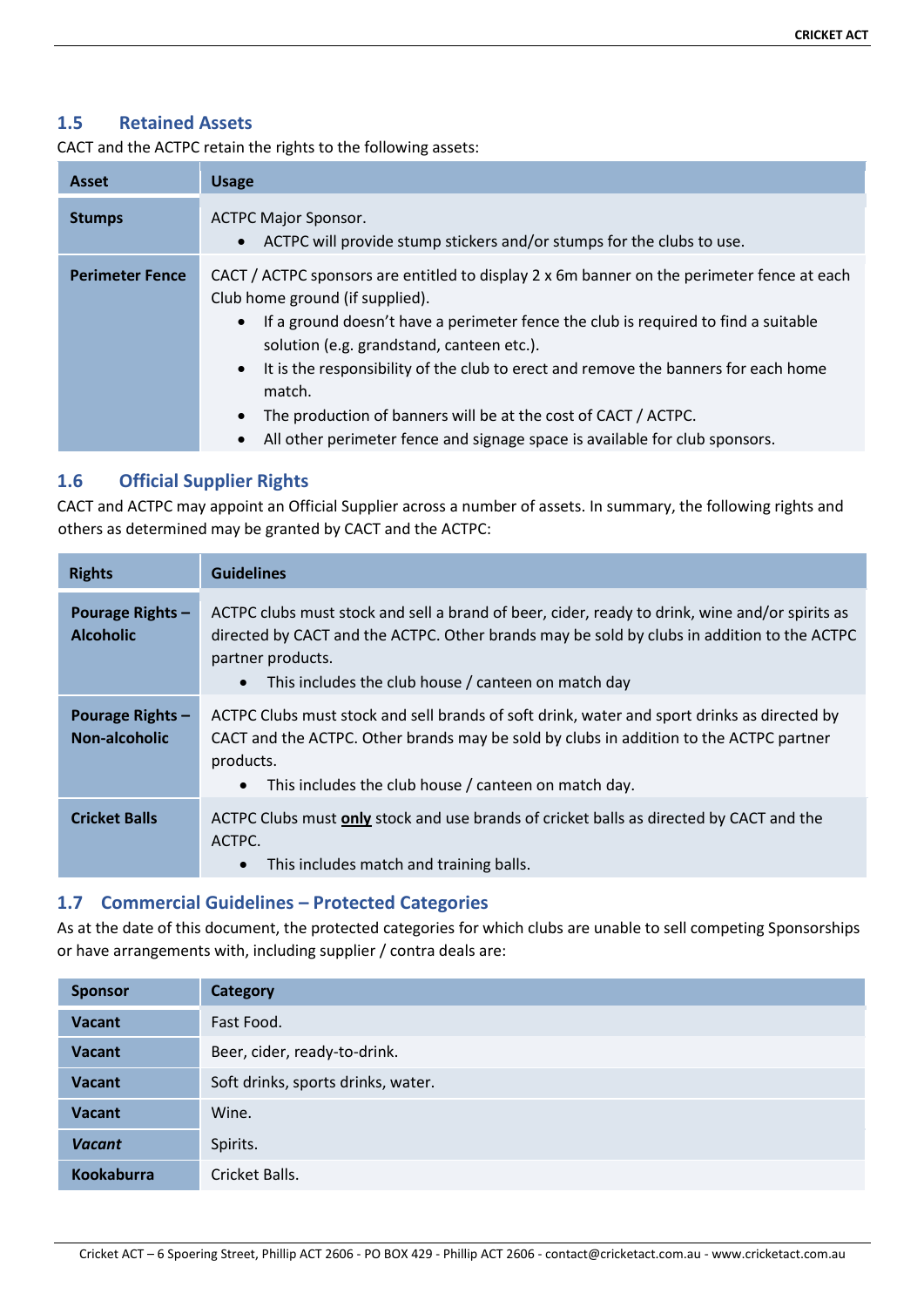# **1.5 Retained Assets**

CACT and the ACTPC retain the rights to the following assets:

| <b>Asset</b>           | <b>Usage</b>                                                                                                                                                                                                                                                                                                                                                                                                                                                                                                                                             |
|------------------------|----------------------------------------------------------------------------------------------------------------------------------------------------------------------------------------------------------------------------------------------------------------------------------------------------------------------------------------------------------------------------------------------------------------------------------------------------------------------------------------------------------------------------------------------------------|
| <b>Stumps</b>          | <b>ACTPC Major Sponsor.</b><br>ACTPC will provide stump stickers and/or stumps for the clubs to use.<br>$\bullet$                                                                                                                                                                                                                                                                                                                                                                                                                                        |
| <b>Perimeter Fence</b> | CACT / ACTPC sponsors are entitled to display 2 x 6m banner on the perimeter fence at each<br>Club home ground (if supplied).<br>If a ground doesn't have a perimeter fence the club is required to find a suitable<br>$\bullet$<br>solution (e.g. grandstand, canteen etc.).<br>It is the responsibility of the club to erect and remove the banners for each home<br>$\bullet$<br>match.<br>The production of banners will be at the cost of CACT / ACTPC.<br>$\bullet$<br>All other perimeter fence and signage space is available for club sponsors. |

# **1.6 Official Supplier Rights**

CACT and ACTPC may appoint an Official Supplier across a number of assets. In summary, the following rights and others as determined may be granted by CACT and the ACTPC:

| <b>Rights</b>                                   | <b>Guidelines</b>                                                                                                                                                                                                                                                        |
|-------------------------------------------------|--------------------------------------------------------------------------------------------------------------------------------------------------------------------------------------------------------------------------------------------------------------------------|
| <b>Pourage Rights -</b><br><b>Alcoholic</b>     | ACTPC clubs must stock and sell a brand of beer, cider, ready to drink, wine and/or spirits as<br>directed by CACT and the ACTPC. Other brands may be sold by clubs in addition to the ACTPC<br>partner products.<br>This includes the club house / canteen on match day |
| <b>Pourage Rights -</b><br><b>Non-alcoholic</b> | ACTPC Clubs must stock and sell brands of soft drink, water and sport drinks as directed by<br>CACT and the ACTPC. Other brands may be sold by clubs in addition to the ACTPC partner<br>products.<br>This includes the club house / canteen on match day.               |
| <b>Cricket Balls</b>                            | ACTPC Clubs must only stock and use brands of cricket balls as directed by CACT and the<br>ACTPC.<br>This includes match and training balls.<br>$\bullet$                                                                                                                |

## **1.7 Commercial Guidelines – Protected Categories**

As at the date of this document, the protected categories for which clubs are unable to sell competing Sponsorships or have arrangements with, including supplier / contra deals are:

| <b>Sponsor</b>         | <b>Category</b>                    |  |
|------------------------|------------------------------------|--|
| <b>Vacant</b>          | Fast Food.                         |  |
| <b>Vacant</b>          | Beer, cider, ready-to-drink.       |  |
| <b>Vacant</b>          | Soft drinks, sports drinks, water. |  |
| <b>Vacant</b><br>Wine. |                                    |  |
| <b>Vacant</b>          | Spirits.                           |  |
| <b>Kookaburra</b>      | Cricket Balls.                     |  |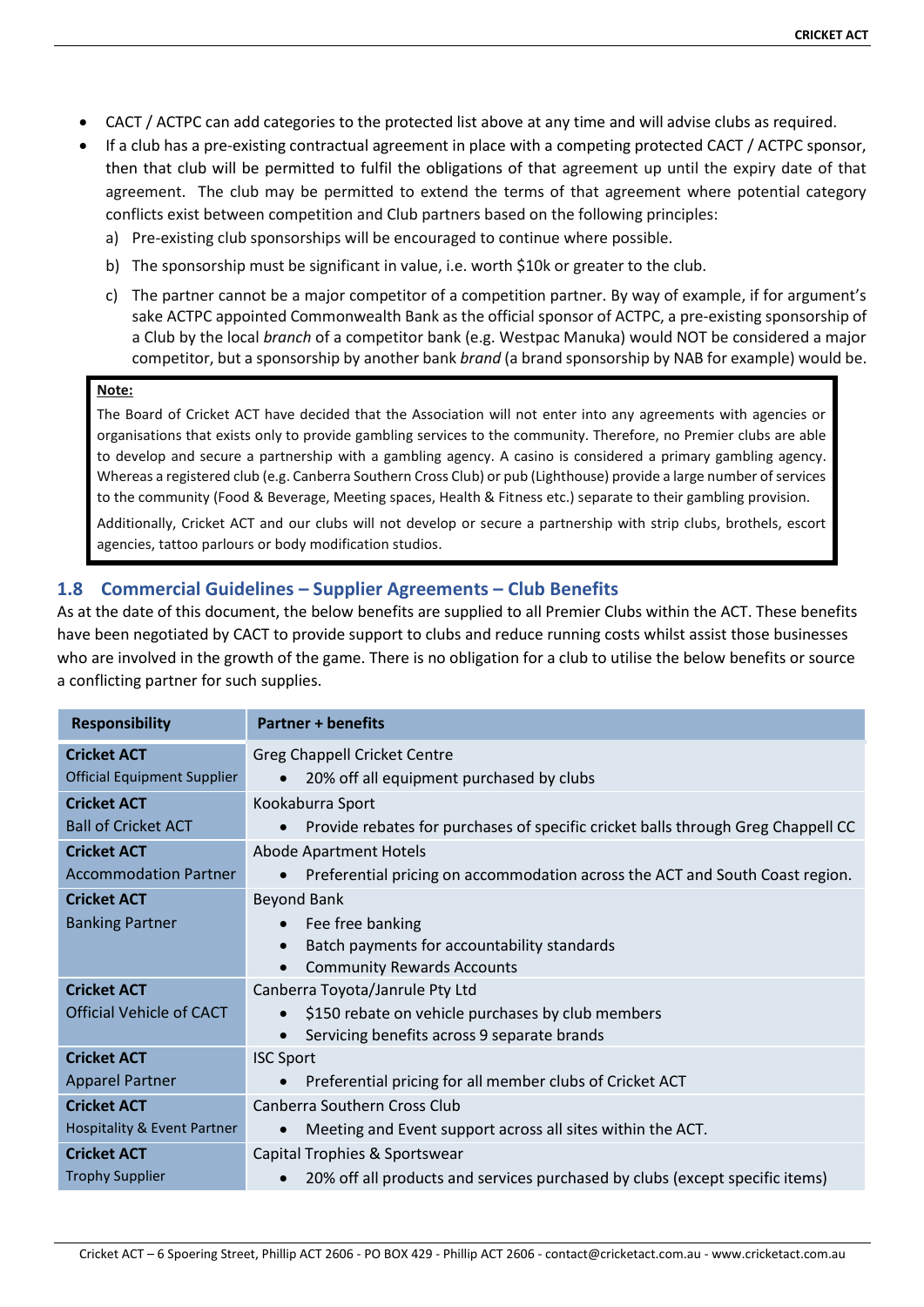- CACT / ACTPC can add categories to the protected list above at any time and will advise clubs as required.
- If a club has a pre-existing contractual agreement in place with a competing protected CACT / ACTPC sponsor, then that club will be permitted to fulfil the obligations of that agreement up until the expiry date of that agreement. The club may be permitted to extend the terms of that agreement where potential category conflicts exist between competition and Club partners based on the following principles:
	- a) Pre-existing club sponsorships will be encouraged to continue where possible.
	- b) The sponsorship must be significant in value, i.e. worth \$10k or greater to the club.
	- c) The partner cannot be a major competitor of a competition partner. By way of example, if for argument's sake ACTPC appointed Commonwealth Bank as the official sponsor of ACTPC, a pre-existing sponsorship of a Club by the local *branch* of a competitor bank (e.g. Westpac Manuka) would NOT be considered a major competitor, but a sponsorship by another bank *brand* (a brand sponsorship by NAB for example) would be.

#### **Note:**

The Board of Cricket ACT have decided that the Association will not enter into any agreements with agencies or organisations that exists only to provide gambling services to the community. Therefore, no Premier clubs are able to develop and secure a partnership with a gambling agency. A casino is considered a primary gambling agency. Whereas a registered club (e.g. Canberra Southern Cross Club) or pub (Lighthouse) provide a large number of services to the community (Food & Beverage, Meeting spaces, Health & Fitness etc.) separate to their gambling provision.

Additionally, Cricket ACT and our clubs will not develop or secure a partnership with strip clubs, brothels, escort agencies, tattoo parlours or body modification studios.

# **1.8 Commercial Guidelines – Supplier Agreements – Club Benefits**

As at the date of this document, the below benefits are supplied to all Premier Clubs within the ACT. These benefits have been negotiated by CACT to provide support to clubs and reduce running costs whilst assist those businesses who are involved in the growth of the game. There is no obligation for a club to utilise the below benefits or source a conflicting partner for such supplies.

| <b>Responsibility</b>                          | <b>Partner + benefits</b>                                                                                                           |  |
|------------------------------------------------|-------------------------------------------------------------------------------------------------------------------------------------|--|
| <b>Cricket ACT</b>                             | <b>Greg Chappell Cricket Centre</b>                                                                                                 |  |
| <b>Official Equipment Supplier</b>             | 20% off all equipment purchased by clubs                                                                                            |  |
| <b>Cricket ACT</b>                             | Kookaburra Sport                                                                                                                    |  |
| <b>Ball of Cricket ACT</b>                     | Provide rebates for purchases of specific cricket balls through Greg Chappell CC                                                    |  |
| <b>Cricket ACT</b>                             | <b>Abode Apartment Hotels</b>                                                                                                       |  |
| <b>Accommodation Partner</b>                   | Preferential pricing on accommodation across the ACT and South Coast region.                                                        |  |
| <b>Cricket ACT</b><br><b>Banking Partner</b>   | <b>Beyond Bank</b><br>Fee free banking<br>Batch payments for accountability standards<br><b>Community Rewards Accounts</b>          |  |
| <b>Cricket ACT</b><br>Official Vehicle of CACT | Canberra Toyota/Janrule Pty Ltd<br>\$150 rebate on vehicle purchases by club members<br>Servicing benefits across 9 separate brands |  |
| <b>Cricket ACT</b>                             | <b>ISC Sport</b>                                                                                                                    |  |
| <b>Apparel Partner</b>                         | Preferential pricing for all member clubs of Cricket ACT                                                                            |  |
| <b>Cricket ACT</b>                             | Canberra Southern Cross Club                                                                                                        |  |
| <b>Hospitality &amp; Event Partner</b>         | Meeting and Event support across all sites within the ACT.                                                                          |  |
| <b>Cricket ACT</b>                             | Capital Trophies & Sportswear                                                                                                       |  |
| <b>Trophy Supplier</b>                         | 20% off all products and services purchased by clubs (except specific items)                                                        |  |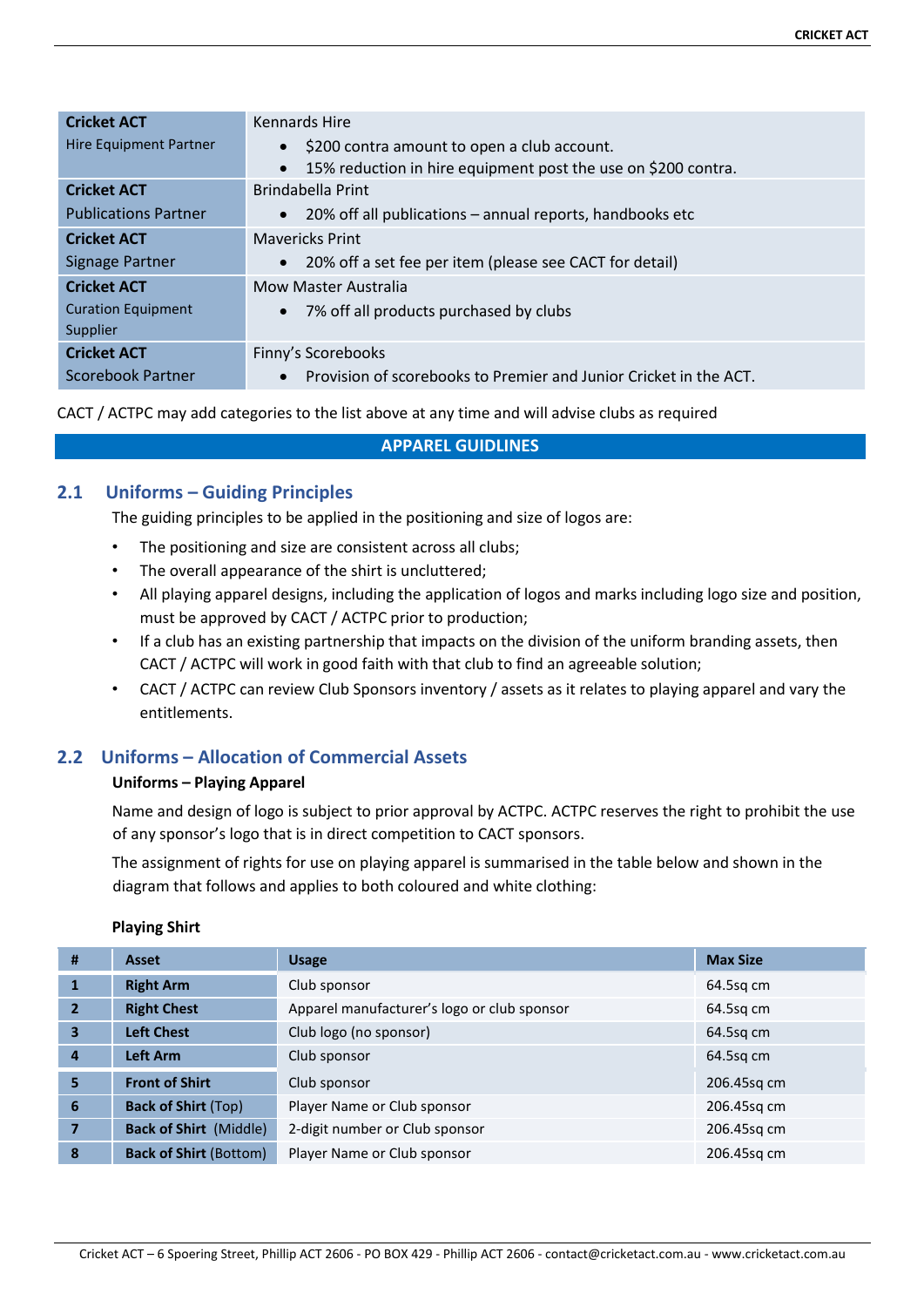| <b>Cricket ACT</b>            | <b>Kennards Hire</b>                                                  |  |
|-------------------------------|-----------------------------------------------------------------------|--|
| <b>Hire Equipment Partner</b> | \$200 contra amount to open a club account.                           |  |
|                               | 15% reduction in hire equipment post the use on \$200 contra.         |  |
| <b>Cricket ACT</b>            | Brindabella Print                                                     |  |
| <b>Publications Partner</b>   | 20% off all publications – annual reports, handbooks etc<br>$\bullet$ |  |
| <b>Cricket ACT</b>            | <b>Mavericks Print</b>                                                |  |
| Signage Partner               | 20% off a set fee per item (please see CACT for detail)<br>$\bullet$  |  |
| <b>Cricket ACT</b>            | <b>Mow Master Australia</b>                                           |  |
| <b>Curation Equipment</b>     | 7% off all products purchased by clubs                                |  |
| Supplier                      |                                                                       |  |
| <b>Cricket ACT</b>            | Finny's Scorebooks                                                    |  |
| Scorebook Partner             | Provision of scorebooks to Premier and Junior Cricket in the ACT.     |  |

#### CACT / ACTPC may add categories to the list above at any time and will advise clubs as required

#### **APPAREL GUIDLINES**

# **2.1 Uniforms – Guiding Principles**

The guiding principles to be applied in the positioning and size of logos are:

- The positioning and size are consistent across all clubs;
- The overall appearance of the shirt is uncluttered;
- All playing apparel designs, including the application of logos and marks including logo size and position, must be approved by CACT / ACTPC prior to production;
- If a club has an existing partnership that impacts on the division of the uniform branding assets, then CACT / ACTPC will work in good faith with that club to find an agreeable solution;
- CACT / ACTPC can review Club Sponsors inventory / assets as it relates to playing apparel and vary the entitlements.

# **2.2 Uniforms – Allocation of Commercial Assets**

## **Uniforms – Playing Apparel**

Name and design of logo is subject to prior approval by ACTPC. ACTPC reserves the right to prohibit the use of any sponsor's logo that is in direct competition to CACT sponsors.

The assignment of rights for use on playing apparel is summarised in the table below and shown in the diagram that follows and applies to both coloured and white clothing:

| #              | <b>Asset</b>                  | <b>Usage</b>                                | <b>Max Size</b> |
|----------------|-------------------------------|---------------------------------------------|-----------------|
|                | <b>Right Arm</b>              | Club sponsor                                | $64.5$ sq cm    |
| $\overline{2}$ | <b>Right Chest</b>            | Apparel manufacturer's logo or club sponsor | 64.5sq cm       |
| 3              | <b>Left Chest</b>             | Club logo (no sponsor)                      | $64.5$ sq cm    |
| $\overline{a}$ | Left Arm                      | Club sponsor                                | $64.5$ sq cm    |
| 5              | <b>Front of Shirt</b>         | Club sponsor                                | 206.45sq cm     |
| 6              | <b>Back of Shirt (Top)</b>    | Player Name or Club sponsor                 | 206.45sg cm     |
|                | <b>Back of Shirt (Middle)</b> | 2-digit number or Club sponsor              | 206.45sq cm     |
| 8              | <b>Back of Shirt (Bottom)</b> | Player Name or Club sponsor                 | 206.45sg cm     |

#### **Playing Shirt**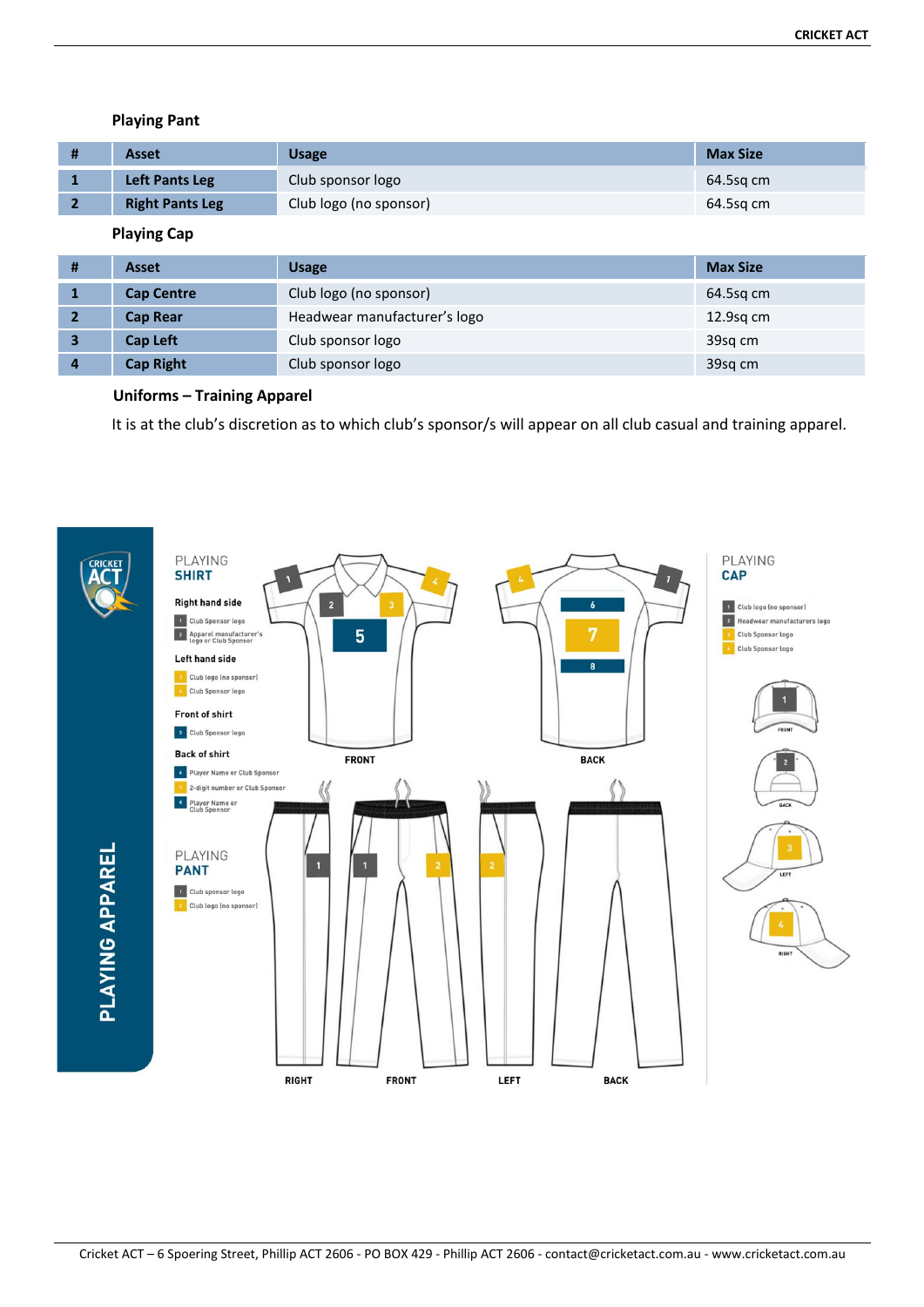#### **Playing Pant**

| <b>Asset</b>           | <b>Usage</b>           | <b>Max Size</b> |
|------------------------|------------------------|-----------------|
| Left Pants Leg         | Club sponsor logo      | 64.5sg cm       |
| <b>Right Pants Leg</b> | Club logo (no sponsor) | 64.5sg cm       |

# **Playing Cap**

| #                       | <b>Asset</b>                                    | <b>Usage</b>           | <b>Max Size</b> |
|-------------------------|-------------------------------------------------|------------------------|-----------------|
| 1                       | <b>Cap Centre</b>                               | Club logo (no sponsor) | 64.5sg cm       |
| $\overline{2}$          | Headwear manufacturer's logo<br><b>Cap Rear</b> |                        | $12.9$ sq cm    |
| $\overline{\mathbf{3}}$ | Cap Left<br>Club sponsor logo                   |                        | 39sg cm         |
| 4                       | <b>Cap Right</b>                                | Club sponsor logo      | 39sq cm         |

#### **Uniforms – Training Apparel**

It is at the club's discretion as to which club's sponsor/s will appear on all club casual and training apparel.

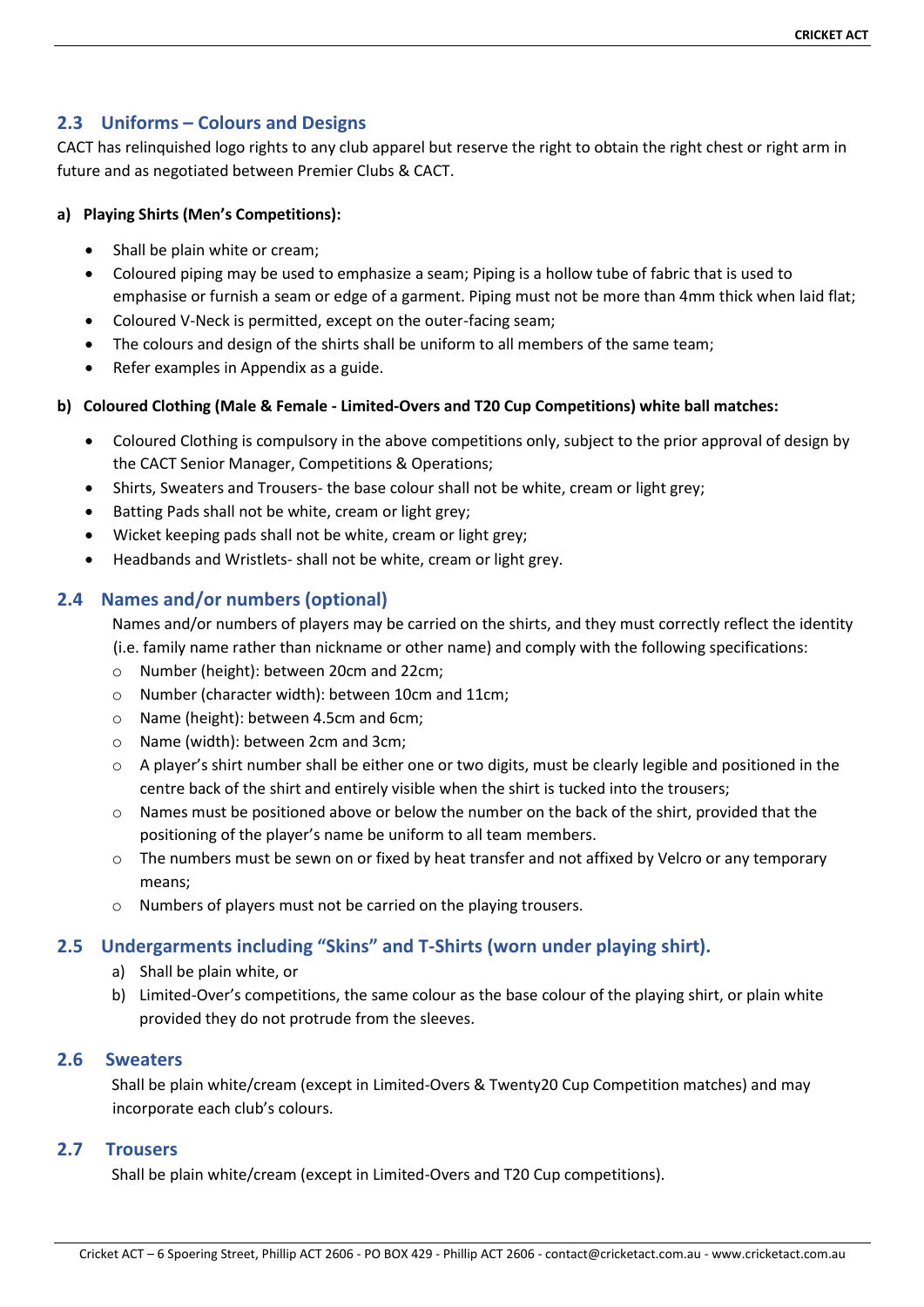# **2.3 Uniforms – Colours and Designs**

CACT has relinquished logo rights to any club apparel but reserve the right to obtain the right chest or right arm in future and as negotiated between Premier Clubs & CACT.

# **a) Playing Shirts (Men's Competitions):**

- Shall be plain white or cream;
- Coloured piping may be used to emphasize a seam; Piping is a hollow tube of fabric that is used to emphasise or furnish a seam or edge of a garment. Piping must not be more than 4mm thick when laid flat;
- Coloured V-Neck is permitted, except on the outer-facing seam;
- The colours and design of the shirts shall be uniform to all members of the same team;
- Refer examples in Appendix as a guide.

# **b) Coloured Clothing (Male & Female - Limited-Overs and T20 Cup Competitions) white ball matches:**

- Coloured Clothing is compulsory in the above competitions only, subject to the prior approval of design by the CACT Senior Manager, Competitions & Operations;
- Shirts, Sweaters and Trousers- the base colour shall not be white, cream or light grey;
- Batting Pads shall not be white, cream or light grey;
- Wicket keeping pads shall not be white, cream or light grey;
- Headbands and Wristlets- shall not be white, cream or light grey.

# **2.4 Names and/or numbers (optional)**

Names and/or numbers of players may be carried on the shirts, and they must correctly reflect the identity (i.e. family name rather than nickname or other name) and comply with the following specifications:

- o Number (height): between 20cm and 22cm;
- o Number (character width): between 10cm and 11cm;
- o Name (height): between 4.5cm and 6cm;
- o Name (width): between 2cm and 3cm;
- $\circ$  A player's shirt number shall be either one or two digits, must be clearly legible and positioned in the centre back of the shirt and entirely visible when the shirt is tucked into the trousers;
- $\circ$  Names must be positioned above or below the number on the back of the shirt, provided that the positioning of the player's name be uniform to all team members.
- $\circ$  The numbers must be sewn on or fixed by heat transfer and not affixed by Velcro or any temporary means;
- o Numbers of players must not be carried on the playing trousers.

# **2.5 Undergarments including "Skins" and T-Shirts (worn under playing shirt).**

- a) Shall be plain white, or
- b) Limited-Over's competitions, the same colour as the base colour of the playing shirt, or plain white provided they do not protrude from the sleeves.

## **2.6 Sweaters**

Shall be plain white/cream (except in Limited-Overs & Twenty20 Cup Competition matches) and may incorporate each club's colours.

## **2.7 Trousers**

Shall be plain white/cream (except in Limited-Overs and T20 Cup competitions).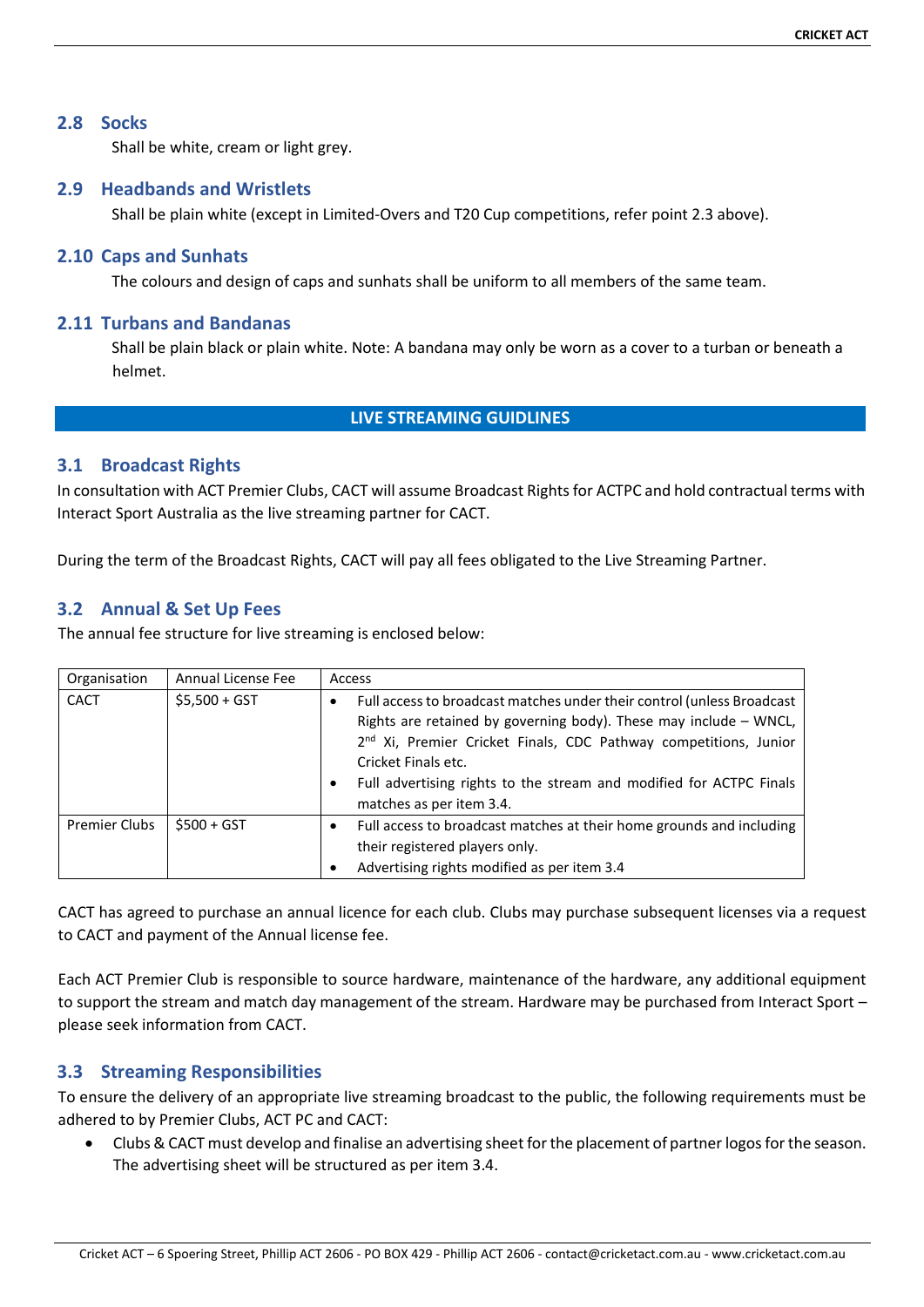#### **2.8 Socks**

Shall be white, cream or light grey.

#### **2.9 Headbands and Wristlets**

Shall be plain white (except in Limited-Overs and T20 Cup competitions, refer point 2.3 above).

#### **2.10 Caps and Sunhats**

The colours and design of caps and sunhats shall be uniform to all members of the same team.

#### **2.11 Turbans and Bandanas**

Shall be plain black or plain white. Note: A bandana may only be worn as a cover to a turban or beneath a helmet.

# **LIVE STREAMING GUIDLINES**

#### **3.1 Broadcast Rights**

In consultation with ACT Premier Clubs, CACT will assume Broadcast Rights for ACTPC and hold contractual terms with Interact Sport Australia as the live streaming partner for CACT.

During the term of the Broadcast Rights, CACT will pay all fees obligated to the Live Streaming Partner.

#### **3.2 Annual & Set Up Fees**

The annual fee structure for live streaming is enclosed below:

| Organisation         | Annual License Fee | Access                                                                                                                                                                                                                                                                                                                                                                          |
|----------------------|--------------------|---------------------------------------------------------------------------------------------------------------------------------------------------------------------------------------------------------------------------------------------------------------------------------------------------------------------------------------------------------------------------------|
| <b>CACT</b>          | $$5,500 + GST$     | Full access to broadcast matches under their control (unless Broadcast<br>$\bullet$<br>Rights are retained by governing body). These may include - WNCL,<br>2 <sup>nd</sup> Xi, Premier Cricket Finals, CDC Pathway competitions, Junior<br>Cricket Finals etc.<br>Full advertising rights to the stream and modified for ACTPC Finals<br>$\bullet$<br>matches as per item 3.4. |
| <b>Premier Clubs</b> | $$500 + GST$       | Full access to broadcast matches at their home grounds and including<br>$\bullet$<br>their registered players only.<br>Advertising rights modified as per item 3.4                                                                                                                                                                                                              |

CACT has agreed to purchase an annual licence for each club. Clubs may purchase subsequent licenses via a request to CACT and payment of the Annual license fee.

Each ACT Premier Club is responsible to source hardware, maintenance of the hardware, any additional equipment to support the stream and match day management of the stream. Hardware may be purchased from Interact Sport – please seek information from CACT.

## **3.3 Streaming Responsibilities**

To ensure the delivery of an appropriate live streaming broadcast to the public, the following requirements must be adhered to by Premier Clubs, ACT PC and CACT:

• Clubs & CACT must develop and finalise an advertising sheet for the placement of partner logos for the season. The advertising sheet will be structured as per item 3.4.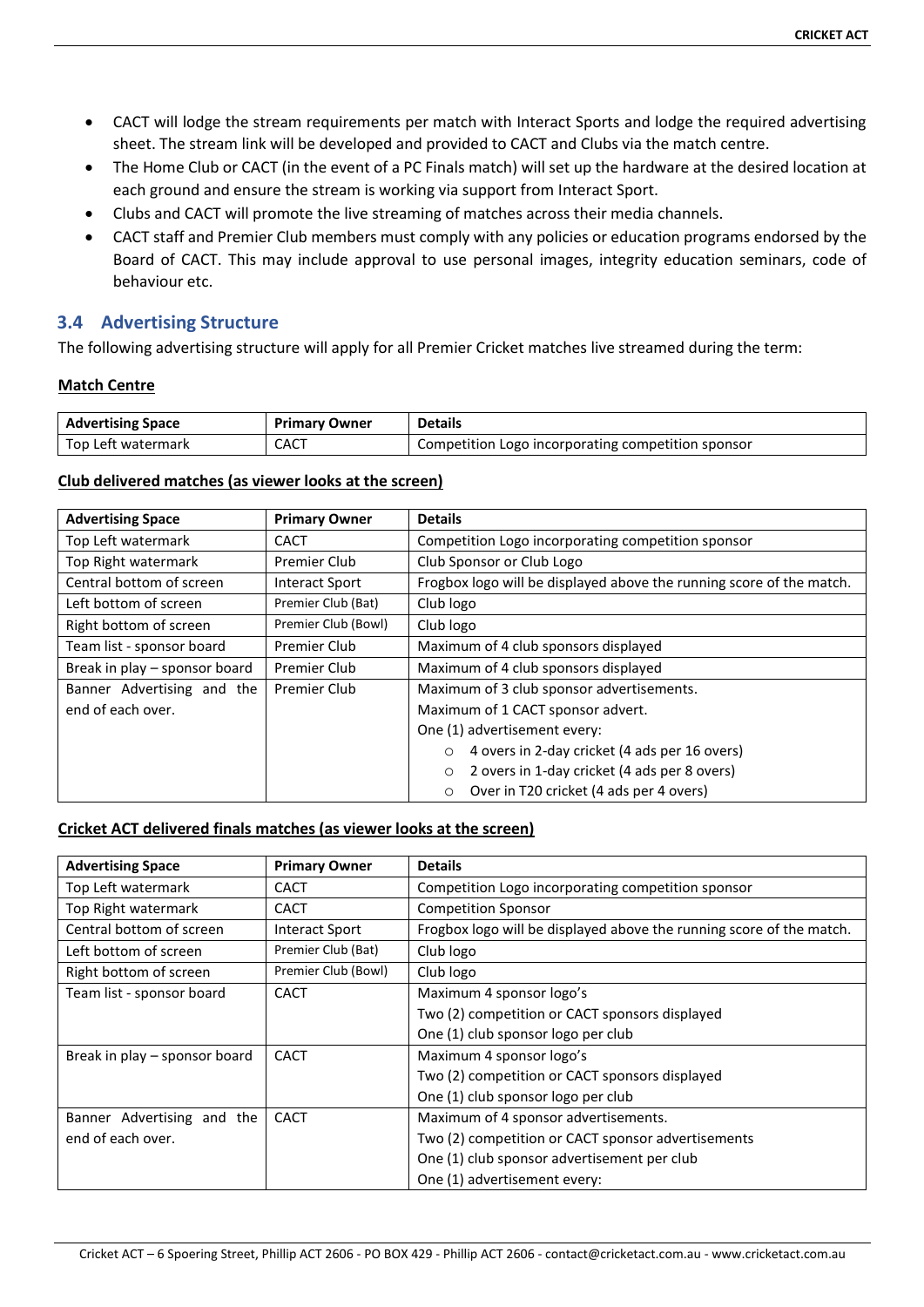- CACT will lodge the stream requirements per match with Interact Sports and lodge the required advertising sheet. The stream link will be developed and provided to CACT and Clubs via the match centre.
- The Home Club or CACT (in the event of a PC Finals match) will set up the hardware at the desired location at each ground and ensure the stream is working via support from Interact Sport.
- Clubs and CACT will promote the live streaming of matches across their media channels.
- CACT staff and Premier Club members must comply with any policies or education programs endorsed by the Board of CACT. This may include approval to use personal images, integrity education seminars, code of behaviour etc.

# **3.4 Advertising Structure**

The following advertising structure will apply for all Premier Cricket matches live streamed during the term:

#### **Match Centre**

| <b>Advertising Space</b> | <b>Primary Owner</b> | <b>Details</b>                                     |
|--------------------------|----------------------|----------------------------------------------------|
| l Top Left watermark     | CACT                 | Competition Logo incorporating competition sponsor |

#### **Club delivered matches (as viewer looks at the screen)**

| <b>Advertising Space</b>      | <b>Primary Owner</b>  | <b>Details</b>                                                       |  |
|-------------------------------|-----------------------|----------------------------------------------------------------------|--|
| Top Left watermark            | CACT                  | Competition Logo incorporating competition sponsor                   |  |
| Top Right watermark           | Premier Club          | Club Sponsor or Club Logo                                            |  |
| Central bottom of screen      | <b>Interact Sport</b> | Frogbox logo will be displayed above the running score of the match. |  |
| Left bottom of screen         | Premier Club (Bat)    | Club logo                                                            |  |
| Right bottom of screen        | Premier Club (Bowl)   | Club logo                                                            |  |
| Team list - sponsor board     | Premier Club          | Maximum of 4 club sponsors displayed                                 |  |
| Break in play – sponsor board | Premier Club          | Maximum of 4 club sponsors displayed                                 |  |
| Banner Advertising and the    | Premier Club          | Maximum of 3 club sponsor advertisements.                            |  |
| end of each over.             |                       | Maximum of 1 CACT sponsor advert.                                    |  |
|                               |                       | One (1) advertisement every:                                         |  |
|                               |                       | 4 overs in 2-day cricket (4 ads per 16 overs)<br>$\circ$             |  |
|                               |                       | 2 overs in 1-day cricket (4 ads per 8 overs)<br>O                    |  |
|                               |                       | Over in T20 cricket (4 ads per 4 overs)<br>O                         |  |

#### **Cricket ACT delivered finals matches (as viewer looks at the screen)**

| <b>Advertising Space</b>      | <b>Primary Owner</b>  | <b>Details</b>                                                       |  |
|-------------------------------|-----------------------|----------------------------------------------------------------------|--|
| Top Left watermark            | CACT                  | Competition Logo incorporating competition sponsor                   |  |
| Top Right watermark           | <b>CACT</b>           | <b>Competition Sponsor</b>                                           |  |
| Central bottom of screen      | <b>Interact Sport</b> | Frogbox logo will be displayed above the running score of the match. |  |
| Left bottom of screen         | Premier Club (Bat)    | Club logo                                                            |  |
| Right bottom of screen        | Premier Club (Bowl)   | Club logo                                                            |  |
| Team list - sponsor board     | <b>CACT</b>           | Maximum 4 sponsor logo's                                             |  |
|                               |                       | Two (2) competition or CACT sponsors displayed                       |  |
|                               |                       | One (1) club sponsor logo per club                                   |  |
| Break in play – sponsor board | <b>CACT</b>           | Maximum 4 sponsor logo's                                             |  |
|                               |                       | Two (2) competition or CACT sponsors displayed                       |  |
|                               |                       | One (1) club sponsor logo per club                                   |  |
| Banner Advertising and the    | <b>CACT</b>           | Maximum of 4 sponsor advertisements.                                 |  |
| end of each over.             |                       | Two (2) competition or CACT sponsor advertisements                   |  |
|                               |                       | One (1) club sponsor advertisement per club                          |  |
|                               |                       | One (1) advertisement every:                                         |  |